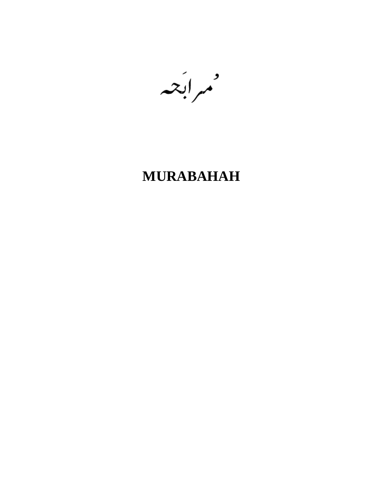مسرابكه

# **MURABAHAH**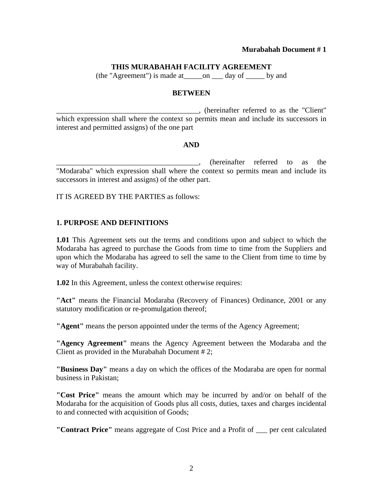#### **THIS MURABAHAH FACILITY AGREEMENT**

(the "Agreement") is made at\_\_\_\_\_on \_\_\_ day of \_\_\_\_\_ by and

#### **BETWEEN**

\_\_\_\_\_\_\_\_\_\_\_\_\_\_\_\_\_\_\_\_\_\_\_\_\_\_\_\_\_\_\_\_\_\_\_\_\_\_, (hereinafter referred to as the "Client" which expression shall where the context so permits mean and include its successors in interest and permitted assigns) of the one part

#### **AND**

(hereinafter referred to as the "Modaraba" which expression shall where the context so permits mean and include its successors in interest and assigns) of the other part.

IT IS AGREED BY THE PARTIES as follows:

# **1. PURPOSE AND DEFINITIONS**

**1.01** This Agreement sets out the terms and conditions upon and subject to which the Modaraba has agreed to purchase the Goods from time to time from the Suppliers and upon which the Modaraba has agreed to sell the same to the Client from time to time by way of Murabahah facility.

**1.02** In this Agreement, unless the context otherwise requires:

**"Act"** means the Financial Modaraba (Recovery of Finances) Ordinance, 2001 or any statutory modification or re-promulgation thereof;

**"Agent"** means the person appointed under the terms of the Agency Agreement;

**"Agency Agreement"** means the Agency Agreement between the Modaraba and the Client as provided in the Murabahah Document # 2;

**"Business Day"** means a day on which the offices of the Modaraba are open for normal business in Pakistan;

**"Cost Price"** means the amount which may be incurred by and/or on behalf of the Modaraba for the acquisition of Goods plus all costs, duties, taxes and charges incidental to and connected with acquisition of Goods;

**"Contract Price"** means aggregate of Cost Price and a Profit of \_\_\_ per cent calculated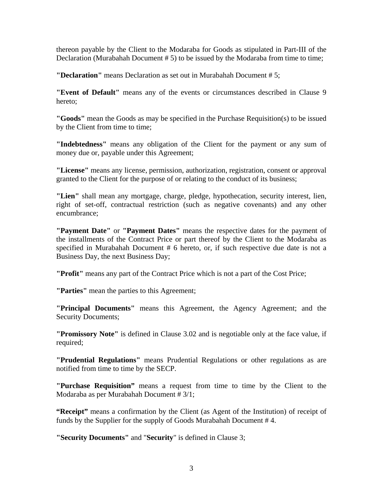thereon payable by the Client to the Modaraba for Goods as stipulated in Part-III of the Declaration (Murabahah Document # 5) to be issued by the Modaraba from time to time;

**"Declaration"** means Declaration as set out in Murabahah Document # 5;

**"Event of Default"** means any of the events or circumstances described in Clause 9 hereto;

**"Goods"** mean the Goods as may be specified in the Purchase Requisition(s) to be issued by the Client from time to time;

**"Indebtedness"** means any obligation of the Client for the payment or any sum of money due or, payable under this Agreement;

**"License"** means any license, permission, authorization, registration, consent or approval granted to the Client for the purpose of or relating to the conduct of its business;

**"Lien"** shall mean any mortgage, charge, pledge, hypothecation, security interest, lien, right of set-off, contractual restriction (such as negative covenants) and any other encumbrance;

**"Payment Date"** or **"Payment Dates"** means the respective dates for the payment of the installments of the Contract Price or part thereof by the Client to the Modaraba as specified in Murabahah Document # 6 hereto, or, if such respective due date is not a Business Day, the next Business Day;

**"Profit"** means any part of the Contract Price which is not a part of the Cost Price;

**"Parties"** mean the parties to this Agreement;

**"Principal Documents"** means this Agreement, the Agency Agreement; and the Security Documents;

**"Promissory Note"** is defined in Clause 3.02 and is negotiable only at the face value, if required;

**"Prudential Regulations"** means Prudential Regulations or other regulations as are notified from time to time by the SECP.

**"Purchase Requisition"** means a request from time to time by the Client to the Modaraba as per Murabahah Document # 3/1;

**"Receipt"** means a confirmation by the Client (as Agent of the Institution) of receipt of funds by the Supplier for the supply of Goods Murabahah Document # 4.

**"Security Documents"** and "**Security**" is defined in Clause 3;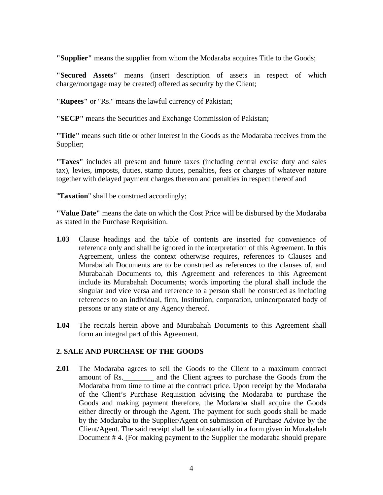**"Supplier"** means the supplier from whom the Modaraba acquires Title to the Goods;

**"Secured Assets"** means (insert description of assets in respect of which charge/mortgage may be created) offered as security by the Client;

**"Rupees"** or "Rs." means the lawful currency of Pakistan;

**"SECP"** means the Securities and Exchange Commission of Pakistan;

**"Title"** means such title or other interest in the Goods as the Modaraba receives from the Supplier;

**"Taxes"** includes all present and future taxes (including central excise duty and sales tax), levies, imposts, duties, stamp duties, penalties, fees or charges of whatever nature together with delayed payment charges thereon and penalties in respect thereof and

"**Taxation**" shall be construed accordingly;

**"Value Date"** means the date on which the Cost Price will be disbursed by the Modaraba as stated in the Purchase Requisition.

- **1.03** Clause headings and the table of contents are inserted for convenience of reference only and shall be ignored in the interpretation of this Agreement. In this Agreement, unless the context otherwise requires, references to Clauses and Murabahah Documents are to be construed as references to the clauses of, and Murabahah Documents to, this Agreement and references to this Agreement include its Murabahah Documents; words importing the plural shall include the singular and vice versa and reference to a person shall be construed as including references to an individual, firm, Institution, corporation, unincorporated body of persons or any state or any Agency thereof.
- **1.04** The recitals herein above and Murabahah Documents to this Agreement shall form an integral part of this Agreement.

# **2. SALE AND PURCHASE OF THE GOODS**

**2.01** The Modaraba agrees to sell the Goods to the Client to a maximum contract amount of Rs.  $\qquad \qquad$  and the Client agrees to purchase the Goods from the Modaraba from time to time at the contract price. Upon receipt by the Modaraba of the Client's Purchase Requisition advising the Modaraba to purchase the Goods and making payment therefore, the Modaraba shall acquire the Goods either directly or through the Agent. The payment for such goods shall be made by the Modaraba to the Supplier/Agent on submission of Purchase Advice by the Client/Agent. The said receipt shall be substantially in a form given in Murabahah Document # 4. (For making payment to the Supplier the modaraba should prepare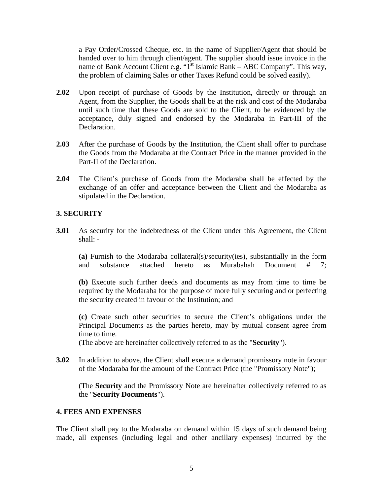a Pay Order/Crossed Cheque, etc. in the name of Supplier/Agent that should be handed over to him through client/agent. The supplier should issue invoice in the name of Bank Account Client e.g. " $1^{\text{st}}$  Islamic Bank – ABC Company". This way, the problem of claiming Sales or other Taxes Refund could be solved easily).

- **2.02** Upon receipt of purchase of Goods by the Institution, directly or through an Agent, from the Supplier, the Goods shall be at the risk and cost of the Modaraba until such time that these Goods are sold to the Client, to be evidenced by the acceptance, duly signed and endorsed by the Modaraba in Part-III of the Declaration.
- **2.03** After the purchase of Goods by the Institution, the Client shall offer to purchase the Goods from the Modaraba at the Contract Price in the manner provided in the Part-II of the Declaration.
- **2.04** The Client's purchase of Goods from the Modaraba shall be effected by the exchange of an offer and acceptance between the Client and the Modaraba as stipulated in the Declaration.

# **3. SECURITY**

**3.01** As security for the indebtedness of the Client under this Agreement, the Client shall: -

**(a)** Furnish to the Modaraba collateral(s)/security(ies), substantially in the form and substance attached hereto as Murabahah Document # 7;

**(b)** Execute such further deeds and documents as may from time to time be required by the Modaraba for the purpose of more fully securing and or perfecting the security created in favour of the Institution; and

**(c)** Create such other securities to secure the Client's obligations under the Principal Documents as the parties hereto, may by mutual consent agree from time to time.

(The above are hereinafter collectively referred to as the "**Security**").

**3.02** In addition to above, the Client shall execute a demand promissory note in favour of the Modaraba for the amount of the Contract Price (the "Promissory Note");

(The **Security** and the Promissory Note are hereinafter collectively referred to as the "**Security Documents**").

#### **4. FEES AND EXPENSES**

The Client shall pay to the Modaraba on demand within 15 days of such demand being made, all expenses (including legal and other ancillary expenses) incurred by the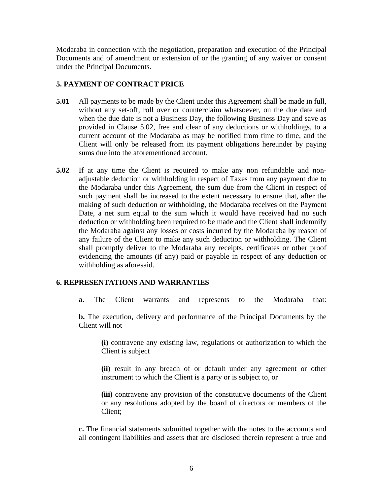Modaraba in connection with the negotiation, preparation and execution of the Principal Documents and of amendment or extension of or the granting of any waiver or consent under the Principal Documents.

# **5. PAYMENT OF CONTRACT PRICE**

- **5.01** All payments to be made by the Client under this Agreement shall be made in full, without any set-off, roll over or counterclaim whatsoever, on the due date and when the due date is not a Business Day, the following Business Day and save as provided in Clause 5.02, free and clear of any deductions or withholdings, to a current account of the Modaraba as may be notified from time to time, and the Client will only be released from its payment obligations hereunder by paying sums due into the aforementioned account.
- **5.02** If at any time the Client is required to make any non refundable and nonadjustable deduction or withholding in respect of Taxes from any payment due to the Modaraba under this Agreement, the sum due from the Client in respect of such payment shall be increased to the extent necessary to ensure that, after the making of such deduction or withholding, the Modaraba receives on the Payment Date, a net sum equal to the sum which it would have received had no such deduction or withholding been required to be made and the Client shall indemnify the Modaraba against any losses or costs incurred by the Modaraba by reason of any failure of the Client to make any such deduction or withholding. The Client shall promptly deliver to the Modaraba any receipts, certificates or other proof evidencing the amounts (if any) paid or payable in respect of any deduction or withholding as aforesaid.

#### **6. REPRESENTATIONS AND WARRANTIES**

**a.** The Client warrants and represents to the Modaraba that:

**b.** The execution, delivery and performance of the Principal Documents by the Client will not

**(i)** contravene any existing law, regulations or authorization to which the Client is subject

**(ii)** result in any breach of or default under any agreement or other instrument to which the Client is a party or is subject to, or

**(iii)** contravene any provision of the constitutive documents of the Client or any resolutions adopted by the board of directors or members of the Client;

**c.** The financial statements submitted together with the notes to the accounts and all contingent liabilities and assets that are disclosed therein represent a true and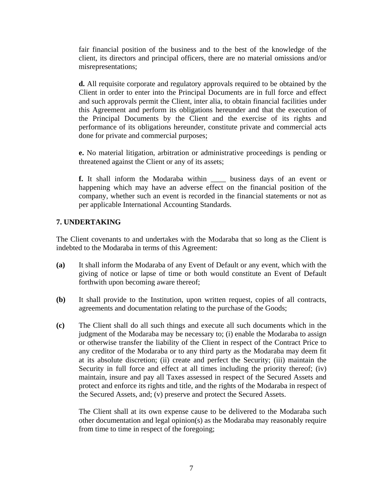fair financial position of the business and to the best of the knowledge of the client, its directors and principal officers, there are no material omissions and/or misrepresentations;

**d.** All requisite corporate and regulatory approvals required to be obtained by the Client in order to enter into the Principal Documents are in full force and effect and such approvals permit the Client, inter alia, to obtain financial facilities under this Agreement and perform its obligations hereunder and that the execution of the Principal Documents by the Client and the exercise of its rights and performance of its obligations hereunder, constitute private and commercial acts done for private and commercial purposes;

**e.** No material litigation, arbitration or administrative proceedings is pending or threatened against the Client or any of its assets;

**f.** It shall inform the Modaraba within \_\_\_\_ business days of an event or happening which may have an adverse effect on the financial position of the company, whether such an event is recorded in the financial statements or not as per applicable International Accounting Standards.

# **7. UNDERTAKING**

The Client covenants to and undertakes with the Modaraba that so long as the Client is indebted to the Modaraba in terms of this Agreement:

- **(a)** It shall inform the Modaraba of any Event of Default or any event, which with the giving of notice or lapse of time or both would constitute an Event of Default forthwith upon becoming aware thereof;
- **(b)** It shall provide to the Institution, upon written request, copies of all contracts, agreements and documentation relating to the purchase of the Goods;
- **(c)** The Client shall do all such things and execute all such documents which in the judgment of the Modaraba may be necessary to; (i) enable the Modaraba to assign or otherwise transfer the liability of the Client in respect of the Contract Price to any creditor of the Modaraba or to any third party as the Modaraba may deem fit at its absolute discretion; (ii) create and perfect the Security; (iii) maintain the Security in full force and effect at all times including the priority thereof; (iv) maintain, insure and pay all Taxes assessed in respect of the Secured Assets and protect and enforce its rights and title, and the rights of the Modaraba in respect of the Secured Assets, and; (v) preserve and protect the Secured Assets.

The Client shall at its own expense cause to be delivered to the Modaraba such other documentation and legal opinion(s) as the Modaraba may reasonably require from time to time in respect of the foregoing;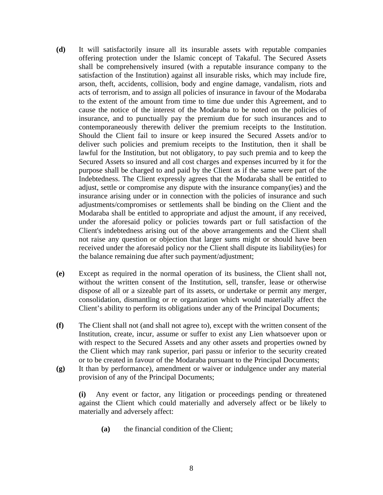- **(d)** It will satisfactorily insure all its insurable assets with reputable companies offering protection under the Islamic concept of Takaful. The Secured Assets shall be comprehensively insured (with a reputable insurance company to the satisfaction of the Institution) against all insurable risks, which may include fire, arson, theft, accidents, collision, body and engine damage, vandalism, riots and acts of terrorism, and to assign all policies of insurance in favour of the Modaraba to the extent of the amount from time to time due under this Agreement, and to cause the notice of the interest of the Modaraba to be noted on the policies of insurance, and to punctually pay the premium due for such insurances and to contemporaneously therewith deliver the premium receipts to the Institution. Should the Client fail to insure or keep insured the Secured Assets and/or to deliver such policies and premium receipts to the Institution, then it shall be lawful for the Institution, but not obligatory, to pay such premia and to keep the Secured Assets so insured and all cost charges and expenses incurred by it for the purpose shall be charged to and paid by the Client as if the same were part of the Indebtedness. The Client expressly agrees that the Modaraba shall be entitled to adjust, settle or compromise any dispute with the insurance company(ies) and the insurance arising under or in connection with the policies of insurance and such adjustments/compromises or settlements shall be binding on the Client and the Modaraba shall be entitled to appropriate and adjust the amount, if any received, under the aforesaid policy or policies towards part or full satisfaction of the Client's indebtedness arising out of the above arrangements and the Client shall not raise any question or objection that larger sums might or should have been received under the aforesaid policy nor the Client shall dispute its liability(ies) for the balance remaining due after such payment/adjustment;
- **(e)** Except as required in the normal operation of its business, the Client shall not, without the written consent of the Institution, sell, transfer, lease or otherwise dispose of all or a sizeable part of its assets, or undertake or permit any merger, consolidation, dismantling or re organization which would materially affect the Client's ability to perform its obligations under any of the Principal Documents;
- **(f)** The Client shall not (and shall not agree to), except with the written consent of the Institution, create, incur, assume or suffer to exist any Lien whatsoever upon or with respect to the Secured Assets and any other assets and properties owned by the Client which may rank superior, pari passu or inferior to the security created or to be created in favour of the Modaraba pursuant to the Principal Documents;
- **(g)** It than by performance), amendment or waiver or indulgence under any material provision of any of the Principal Documents;

**(i)** Any event or factor, any litigation or proceedings pending or threatened against the Client which could materially and adversely affect or be likely to materially and adversely affect:

**(a)** the financial condition of the Client;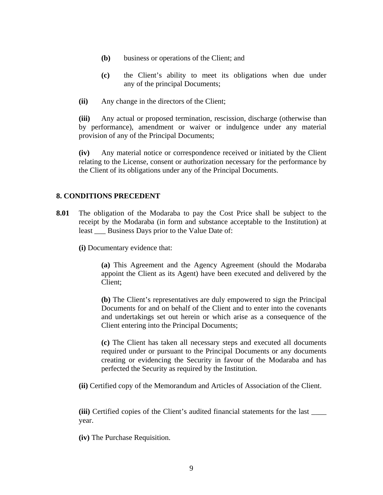- **(b)** business or operations of the Client; and
- **(c)** the Client's ability to meet its obligations when due under any of the principal Documents;
- **(ii)** Any change in the directors of the Client;

**(iii)** Any actual or proposed termination, rescission, discharge (otherwise than by performance), amendment or waiver or indulgence under any material provision of any of the Principal Documents;

**(iv)** Any material notice or correspondence received or initiated by the Client relating to the License, consent or authorization necessary for the performance by the Client of its obligations under any of the Principal Documents.

#### **8. CONDITIONS PRECEDENT**

**8.01** The obligation of the Modaraba to pay the Cost Price shall be subject to the receipt by the Modaraba (in form and substance acceptable to the Institution) at least Business Days prior to the Value Date of:

**(i)** Documentary evidence that:

**(a)** This Agreement and the Agency Agreement (should the Modaraba appoint the Client as its Agent) have been executed and delivered by the Client;

**(b)** The Client's representatives are duly empowered to sign the Principal Documents for and on behalf of the Client and to enter into the covenants and undertakings set out herein or which arise as a consequence of the Client entering into the Principal Documents;

**(c)** The Client has taken all necessary steps and executed all documents required under or pursuant to the Principal Documents or any documents creating or evidencing the Security in favour of the Modaraba and has perfected the Security as required by the Institution.

**(ii)** Certified copy of the Memorandum and Articles of Association of the Client.

**(iii)** Certified copies of the Client's audited financial statements for the last year.

**(iv)** The Purchase Requisition.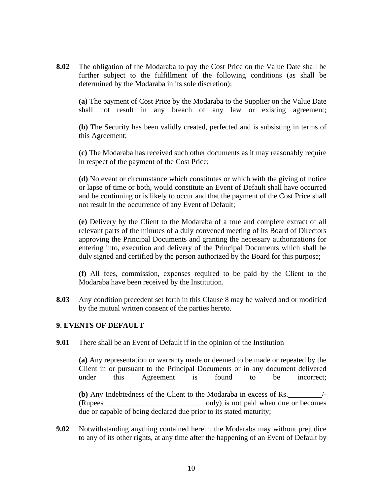**8.02** The obligation of the Modaraba to pay the Cost Price on the Value Date shall be further subject to the fulfillment of the following conditions (as shall be determined by the Modaraba in its sole discretion):

**(a)** The payment of Cost Price by the Modaraba to the Supplier on the Value Date shall not result in any breach of any law or existing agreement;

**(b)** The Security has been validly created, perfected and is subsisting in terms of this Agreement;

**(c)** The Modaraba has received such other documents as it may reasonably require in respect of the payment of the Cost Price;

**(d)** No event or circumstance which constitutes or which with the giving of notice or lapse of time or both, would constitute an Event of Default shall have occurred and be continuing or is likely to occur and that the payment of the Cost Price shall not result in the occurrence of any Event of Default;

**(e)** Delivery by the Client to the Modaraba of a true and complete extract of all relevant parts of the minutes of a duly convened meeting of its Board of Directors approving the Principal Documents and granting the necessary authorizations for entering into, execution and delivery of the Principal Documents which shall be duly signed and certified by the person authorized by the Board for this purpose;

**(f)** All fees, commission, expenses required to be paid by the Client to the Modaraba have been received by the Institution.

**8.03** Any condition precedent set forth in this Clause 8 may be waived and or modified by the mutual written consent of the parties hereto.

#### **9. EVENTS OF DEFAULT**

**9.01** There shall be an Event of Default if in the opinion of the Institution

**(a)** Any representation or warranty made or deemed to be made or repeated by the Client in or pursuant to the Principal Documents or in any document delivered under this Agreement is found to be incorrect;

**(b)** Any Indebtedness of the Client to the Modaraba in excess of Rs.\_\_\_\_\_\_\_\_\_/- (Rupees only) is not paid when due or becomes due or capable of being declared due prior to its stated maturity;

**9.02** Notwithstanding anything contained herein, the Modaraba may without prejudice to any of its other rights, at any time after the happening of an Event of Default by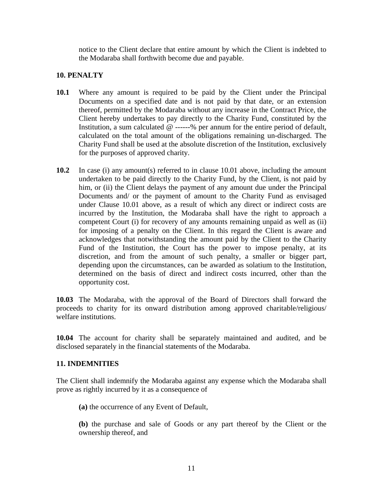notice to the Client declare that entire amount by which the Client is indebted to the Modaraba shall forthwith become due and payable.

# **10. PENALTY**

- **10.1** Where any amount is required to be paid by the Client under the Principal Documents on a specified date and is not paid by that date, or an extension thereof, permitted by the Modaraba without any increase in the Contract Price, the Client hereby undertakes to pay directly to the Charity Fund, constituted by the Institution, a sum calculated  $\omega$  ------% per annum for the entire period of default, calculated on the total amount of the obligations remaining un-discharged. The Charity Fund shall be used at the absolute discretion of the Institution, exclusively for the purposes of approved charity.
- **10.2** In case (i) any amount(s) referred to in clause 10.01 above, including the amount undertaken to be paid directly to the Charity Fund, by the Client, is not paid by him, or (ii) the Client delays the payment of any amount due under the Principal Documents and/ or the payment of amount to the Charity Fund as envisaged under Clause 10.01 above, as a result of which any direct or indirect costs are incurred by the Institution, the Modaraba shall have the right to approach a competent Court (i) for recovery of any amounts remaining unpaid as well as (ii) for imposing of a penalty on the Client. In this regard the Client is aware and acknowledges that notwithstanding the amount paid by the Client to the Charity Fund of the Institution, the Court has the power to impose penalty, at its discretion, and from the amount of such penalty, a smaller or bigger part, depending upon the circumstances, can be awarded as solatium to the Institution, determined on the basis of direct and indirect costs incurred, other than the opportunity cost.

**10.03** The Modaraba, with the approval of the Board of Directors shall forward the proceeds to charity for its onward distribution among approved charitable/religious/ welfare institutions.

**10.04** The account for charity shall be separately maintained and audited, and be disclosed separately in the financial statements of the Modaraba.

# **11. INDEMNITIES**

The Client shall indemnify the Modaraba against any expense which the Modaraba shall prove as rightly incurred by it as a consequence of

**(a)** the occurrence of any Event of Default,

**(b)** the purchase and sale of Goods or any part thereof by the Client or the ownership thereof, and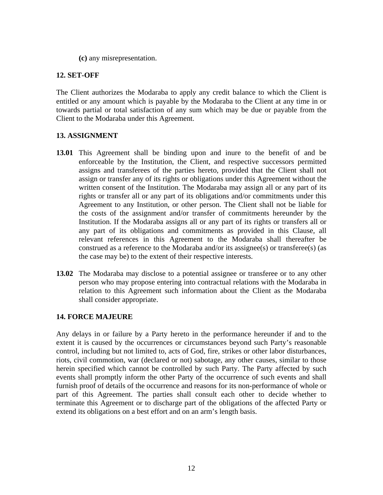**(c)** any misrepresentation.

# **12. SET-OFF**

The Client authorizes the Modaraba to apply any credit balance to which the Client is entitled or any amount which is payable by the Modaraba to the Client at any time in or towards partial or total satisfaction of any sum which may be due or payable from the Client to the Modaraba under this Agreement.

# **13. ASSIGNMENT**

- **13.01** This Agreement shall be binding upon and inure to the benefit of and be enforceable by the Institution, the Client, and respective successors permitted assigns and transferees of the parties hereto, provided that the Client shall not assign or transfer any of its rights or obligations under this Agreement without the written consent of the Institution. The Modaraba may assign all or any part of its rights or transfer all or any part of its obligations and/or commitments under this Agreement to any Institution, or other person. The Client shall not be liable for the costs of the assignment and/or transfer of commitments hereunder by the Institution. If the Modaraba assigns all or any part of its rights or transfers all or any part of its obligations and commitments as provided in this Clause, all relevant references in this Agreement to the Modaraba shall thereafter be construed as a reference to the Modaraba and/or its assignee(s) or transferee(s) (as the case may be) to the extent of their respective interests.
- **13.02** The Modaraba may disclose to a potential assignee or transferee or to any other person who may propose entering into contractual relations with the Modaraba in relation to this Agreement such information about the Client as the Modaraba shall consider appropriate.

#### **14. FORCE MAJEURE**

Any delays in or failure by a Party hereto in the performance hereunder if and to the extent it is caused by the occurrences or circumstances beyond such Party's reasonable control, including but not limited to, acts of God, fire, strikes or other labor disturbances, riots, civil commotion, war (declared or not) sabotage, any other causes, similar to those herein specified which cannot be controlled by such Party. The Party affected by such events shall promptly inform the other Party of the occurrence of such events and shall furnish proof of details of the occurrence and reasons for its non-performance of whole or part of this Agreement. The parties shall consult each other to decide whether to terminate this Agreement or to discharge part of the obligations of the affected Party or extend its obligations on a best effort and on an arm's length basis.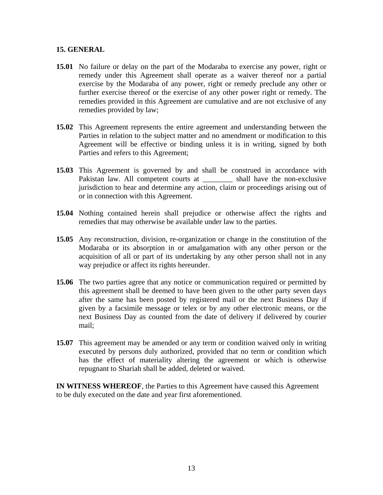# **15. GENERAL**

- **15.01** No failure or delay on the part of the Modaraba to exercise any power, right or remedy under this Agreement shall operate as a waiver thereof nor a partial exercise by the Modaraba of any power, right or remedy preclude any other or further exercise thereof or the exercise of any other power right or remedy. The remedies provided in this Agreement are cumulative and are not exclusive of any remedies provided by law;
- **15.02** This Agreement represents the entire agreement and understanding between the Parties in relation to the subject matter and no amendment or modification to this Agreement will be effective or binding unless it is in writing, signed by both Parties and refers to this Agreement;
- **15.03** This Agreement is governed by and shall be construed in accordance with Pakistan law. All competent courts at shall have the non-exclusive jurisdiction to hear and determine any action, claim or proceedings arising out of or in connection with this Agreement.
- **15.04** Nothing contained herein shall prejudice or otherwise affect the rights and remedies that may otherwise be available under law to the parties.
- **15.05** Any reconstruction, division, re-organization or change in the constitution of the Modaraba or its absorption in or amalgamation with any other person or the acquisition of all or part of its undertaking by any other person shall not in any way prejudice or affect its rights hereunder.
- **15.06** The two parties agree that any notice or communication required or permitted by this agreement shall be deemed to have been given to the other party seven days after the same has been posted by registered mail or the next Business Day if given by a facsimile message or telex or by any other electronic means, or the next Business Day as counted from the date of delivery if delivered by courier mail;
- **15.07** This agreement may be amended or any term or condition waived only in writing executed by persons duly authorized, provided that no term or condition which has the effect of materiality altering the agreement or which is otherwise repugnant to Shariah shall be added, deleted or waived.

**IN WITNESS WHEREOF**, the Parties to this Agreement have caused this Agreement to be duly executed on the date and year first aforementioned.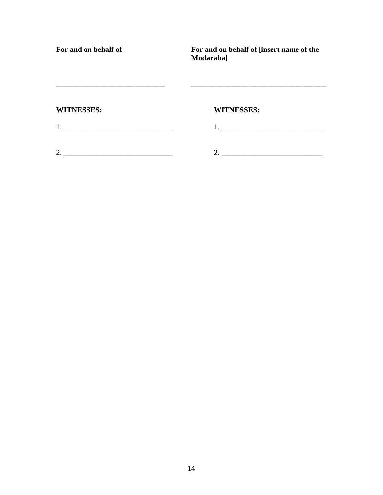| For and on behalf of | For and on behalf of [insert name of the<br>Modaraba] |  |  |  |
|----------------------|-------------------------------------------------------|--|--|--|
| <b>WITNESSES:</b>    | <b>WITNESSES:</b>                                     |  |  |  |
|                      |                                                       |  |  |  |
| ↑                    |                                                       |  |  |  |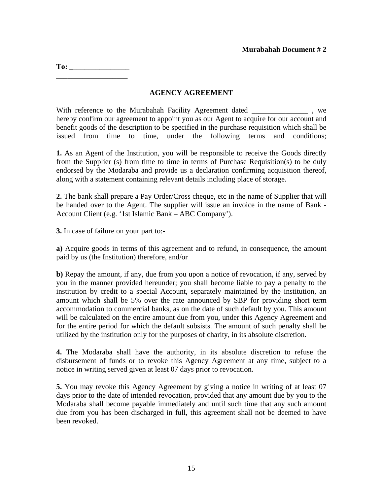**To: \_**\_\_\_\_\_\_\_\_\_\_\_\_\_\_\_ \_\_\_\_\_\_\_\_\_\_\_\_\_\_\_\_\_\_\_

# **AGENCY AGREEMENT**

With reference to the Murabahah Facility Agreement dated , we hereby confirm our agreement to appoint you as our Agent to acquire for our account and benefit goods of the description to be specified in the purchase requisition which shall be issued from time to time, under the following terms and conditions;

**1.** As an Agent of the Institution, you will be responsible to receive the Goods directly from the Supplier (s) from time to time in terms of Purchase Requisition(s) to be duly endorsed by the Modaraba and provide us a declaration confirming acquisition thereof, along with a statement containing relevant details including place of storage.

**2.** The bank shall prepare a Pay Order/Cross cheque, etc in the name of Supplier that will be handed over to the Agent. The supplier will issue an invoice in the name of Bank - Account Client (e.g. '1st Islamic Bank – ABC Company').

**3.** In case of failure on your part to:-

**a)** Acquire goods in terms of this agreement and to refund, in consequence, the amount paid by us (the Institution) therefore, and/or

**b)** Repay the amount, if any, due from you upon a notice of revocation, if any, served by you in the manner provided hereunder; you shall become liable to pay a penalty to the institution by credit to a special Account, separately maintained by the institution, an amount which shall be 5% over the rate announced by SBP for providing short term accommodation to commercial banks, as on the date of such default by you. This amount will be calculated on the entire amount due from you, under this Agency Agreement and for the entire period for which the default subsists. The amount of such penalty shall be utilized by the institution only for the purposes of charity, in its absolute discretion.

**4.** The Modaraba shall have the authority, in its absolute discretion to refuse the disbursement of funds or to revoke this Agency Agreement at any time, subject to a notice in writing served given at least 07 days prior to revocation.

**5.** You may revoke this Agency Agreement by giving a notice in writing of at least 07 days prior to the date of intended revocation, provided that any amount due by you to the Modaraba shall become payable immediately and until such time that any such amount due from you has been discharged in full, this agreement shall not be deemed to have been revoked.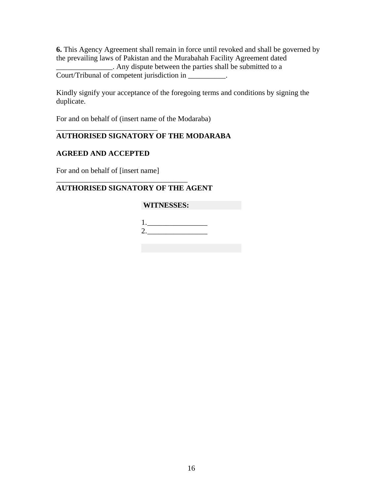**6.** This Agency Agreement shall remain in force until revoked and shall be governed by the prevailing laws of Pakistan and the Murabahah Facility Agreement dated \_\_\_\_\_\_\_\_\_\_\_\_\_\_\_. Any dispute between the parties shall be submitted to a Court/Tribunal of competent jurisdiction in \_\_\_\_\_\_\_\_\_\_.

Kindly signify your acceptance of the foregoing terms and conditions by signing the duplicate.

For and on behalf of (insert name of the Modaraba)

# **AUTHORISED SIGNATORY OF THE MODARABA**

# **AGREED AND ACCEPTED**

For and on behalf of [insert name]

\_\_\_\_\_\_\_\_\_\_\_\_\_\_\_\_\_\_\_\_\_\_\_\_\_\_\_

# **AUTHORISED SIGNATORY OF THE AGENT**

\_\_\_\_\_\_\_\_\_\_\_\_\_\_\_\_\_\_\_\_\_\_\_\_\_\_\_\_\_\_\_\_\_\_\_

# **WITNESSES:**

1. \_\_\_\_\_\_\_\_\_\_\_\_\_\_\_\_ 2. \_\_\_\_\_\_\_\_\_\_\_\_\_\_\_\_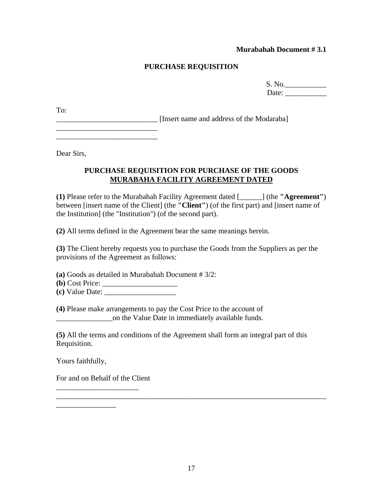#### **PURCHASE REQUISITION**

S. No. Date:

To:

\_\_\_\_\_\_\_\_\_\_\_\_\_\_\_\_\_\_\_\_\_\_\_\_\_\_\_ [Insert name and address of the Modaraba]

Dear Sirs,

\_\_\_\_\_\_\_\_\_\_\_\_\_\_\_\_\_\_\_\_\_\_\_\_\_\_\_ \_\_\_\_\_\_\_\_\_\_\_\_\_\_\_\_\_\_\_\_\_\_\_\_\_\_\_

# **PURCHASE REQUISITION FOR PURCHASE OF THE GOODS MURABAHA FACILITY AGREEMENT DATED**

**(1)** Please refer to the Murabahah Facility Agreement dated [\_\_\_\_\_\_] (the **"Agreement"**) between [insert name of the Client] (the **"Client"**) (of the first part) and [insert name of the Institution] (the "Institution") (of the second part).

**(2)** All terms defined in the Agreement bear the same meanings herein.

**(3)** The Client hereby requests you to purchase the Goods from the Suppliers as per the provisions of the Agreement as follows:

**(a)** Goods as detailed in Murabahah Document # 3/2:

**(b)** Cost Price: \_\_\_\_\_\_\_\_\_\_\_\_\_\_\_\_\_\_\_\_

**(c)** Value Date: \_\_\_\_\_\_\_\_\_\_\_\_\_\_\_\_\_\_\_

**(4)** Please make arrangements to pay the Cost Price to the account of \_\_\_\_\_\_\_\_\_\_\_\_\_\_\_on the Value Date in immediately available funds.

**(5)** All the terms and conditions of the Agreement shall form an integral part of this Requisition.

Yours faithfully,

\_\_\_\_\_\_\_\_\_\_\_\_\_\_\_\_

For and on Behalf of the Client

\_\_\_\_\_\_\_\_\_\_\_\_\_\_\_\_\_\_\_\_\_\_

\_\_\_\_\_\_\_\_\_\_\_\_\_\_\_\_\_\_\_\_\_\_\_\_\_\_\_\_\_\_\_\_\_\_\_\_\_\_\_\_\_\_\_\_\_\_\_\_\_\_\_\_\_\_\_\_\_\_\_\_\_\_\_\_\_\_\_\_\_\_\_\_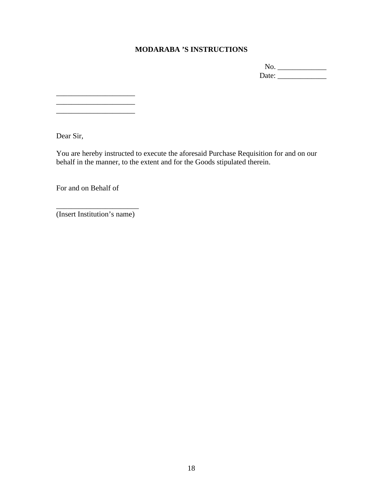# **MODARABA 'S INSTRUCTIONS**

No. \_\_\_\_\_\_\_\_\_\_\_\_\_ Date: \_\_\_\_\_\_\_\_\_\_\_\_\_

Dear Sir,

You are hereby instructed to execute the aforesaid Purchase Requisition for and on our behalf in the manner, to the extent and for the Goods stipulated therein.

For and on Behalf of

\_\_\_\_\_\_\_\_\_\_\_\_\_\_\_\_\_\_\_\_\_\_ (Insert Institution's name)

\_\_\_\_\_\_\_\_\_\_\_\_\_\_\_\_\_\_\_\_\_ \_\_\_\_\_\_\_\_\_\_\_\_\_\_\_\_\_\_\_\_\_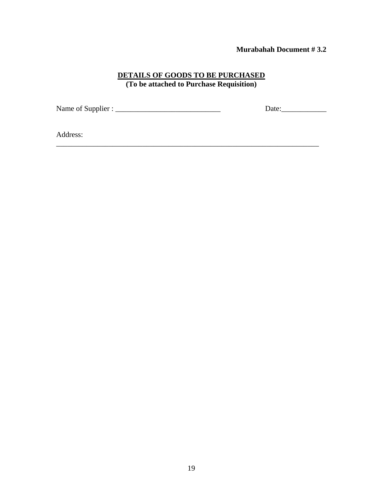# **DETAILS OF GOODS TO BE PURCHASED (To be attached to Purchase Requisition)**

\_\_\_\_\_\_\_\_\_\_\_\_\_\_\_\_\_\_\_\_\_\_\_\_\_\_\_\_\_\_\_\_\_\_\_\_\_\_\_\_\_\_\_\_\_\_\_\_\_\_\_\_\_\_\_\_\_\_\_\_\_\_\_\_\_\_\_\_\_\_

Name of Supplier : \_\_\_\_\_\_\_\_\_\_\_\_\_\_\_\_\_\_\_\_\_\_\_\_\_\_\_\_ Date:\_\_\_\_\_\_\_\_\_\_\_\_

Address: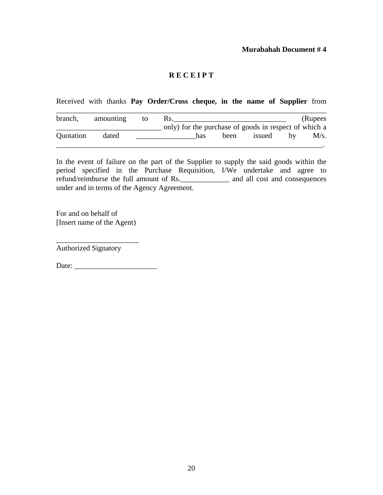# **R E C E I P T**

# Received with thanks **Pay Order/Cross cheque, in the name of Supplier** from

| branch,   | amounting | to | $\text{Rs.}$ |     |      |                                                       |    | (Rupees) |
|-----------|-----------|----|--------------|-----|------|-------------------------------------------------------|----|----------|
|           |           |    |              |     |      | only) for the purchase of goods in respect of which a |    |          |
| Quotation | dated     |    |              | has | been | issued                                                | hv | M/s.     |

In the event of failure on the part of the Supplier to supply the said goods within the period specified in the Purchase Requisition, I/We undertake and agree to refund/reimburse the full amount of Rs.\_\_\_\_\_\_\_\_\_\_\_\_\_ and all cost and consequences under and in terms of the Agency Agreement.

For and on behalf of [Insert name of the Agent)

\_\_\_\_\_\_\_\_\_\_\_\_\_\_\_\_\_\_\_\_\_\_

Authorized Signatory

Date: \_\_\_\_\_\_\_\_\_\_\_\_\_\_\_\_\_\_\_\_\_\_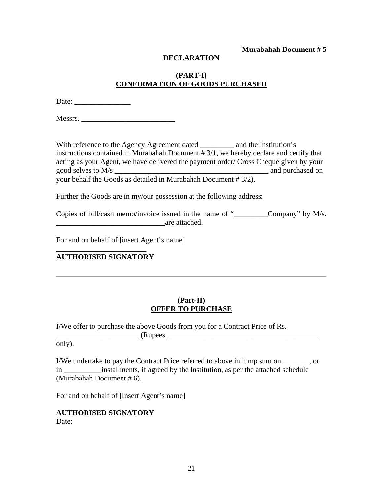#### **DECLARATION**

# **(PART-I) CONFIRMATION OF GOODS PURCHASED**

Date: \_\_\_\_\_\_\_\_\_\_\_\_\_\_\_

Messrs. \_\_\_\_\_\_\_\_\_\_\_\_\_\_\_\_\_\_\_\_\_\_\_\_\_

With reference to the Agency Agreement dated \_\_\_\_\_\_\_\_\_\_ and the Institution's instructions contained in Murabahah Document # 3/1, we hereby declare and certify that acting as your Agent, we have delivered the payment order/ Cross Cheque given by your good selves to M/s  $\Delta t$  and purchased on your behalf the Goods as detailed in Murabahah Document # 3/2).

Further the Goods are in my/our possession at the following address:

Copies of bill/cash memo/invoice issued in the name of " $\sim$  Company" by M/s. example are attached.

For and on behalf of [insert Agent's name]

#### \_\_\_\_\_\_\_\_\_\_\_\_\_\_\_\_\_\_\_\_\_\_\_\_ **AUTHORISED SIGNATORY**

# **(Part-II) OFFER TO PURCHASE**

I/We offer to purchase the above Goods from you for a Contract Price of Rs.

\_\_\_\_\_\_\_\_\_\_\_\_\_\_\_\_\_\_\_\_\_\_ (Rupees \_\_\_\_\_\_\_\_\_\_\_\_\_\_\_\_\_\_\_\_\_\_\_\_\_\_\_\_\_\_\_\_\_\_\_\_\_\_\_\_ only).

I/We undertake to pay the Contract Price referred to above in lump sum on \_\_\_\_\_\_\_, or in \_\_\_\_\_\_\_\_\_\_installments, if agreed by the Institution, as per the attached schedule (Murabahah Document # 6).

For and on behalf of [Insert Agent's name]

# **AUTHORISED SIGNATORY**

Date: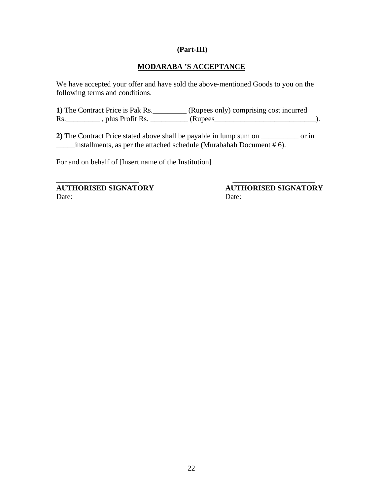# **(Part-III)**

# **MODARABA 'S ACCEPTANCE**

We have accepted your offer and have sold the above-mentioned Goods to you on the following terms and conditions.

**1)** The Contract Price is Pak Rs.\_\_\_\_\_\_\_\_\_ (Rupees only) comprising cost incurred Rs.\_\_\_\_\_\_\_\_\_ , plus Profit Rs. \_\_\_\_\_\_\_\_\_\_ (Rupees\_\_\_\_\_\_\_\_\_\_\_\_\_\_\_\_\_\_\_\_\_\_\_\_\_\_\_).

**2)** The Contract Price stated above shall be payable in lump sum on \_\_\_\_\_\_\_\_\_\_ or in \_\_\_\_\_installments, as per the attached schedule (Murabahah Document # 6).

For and on behalf of [Insert name of the Institution]

Date: Date:

\_\_\_\_\_\_\_\_\_\_\_\_\_\_\_\_\_\_\_\_\_\_ \_\_\_\_\_\_\_\_\_\_\_\_\_\_\_\_\_\_\_\_\_\_ **AUTHORISED SIGNATORY AUTHORISED SIGNATORY**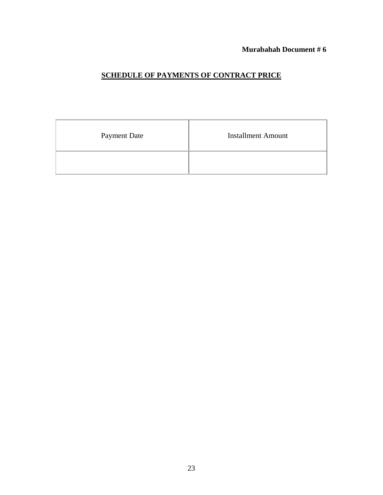# **SCHEDULE OF PAYMENTS OF CONTRACT PRICE**

| Payment Date | <b>Installment Amount</b> |
|--------------|---------------------------|
|              |                           |